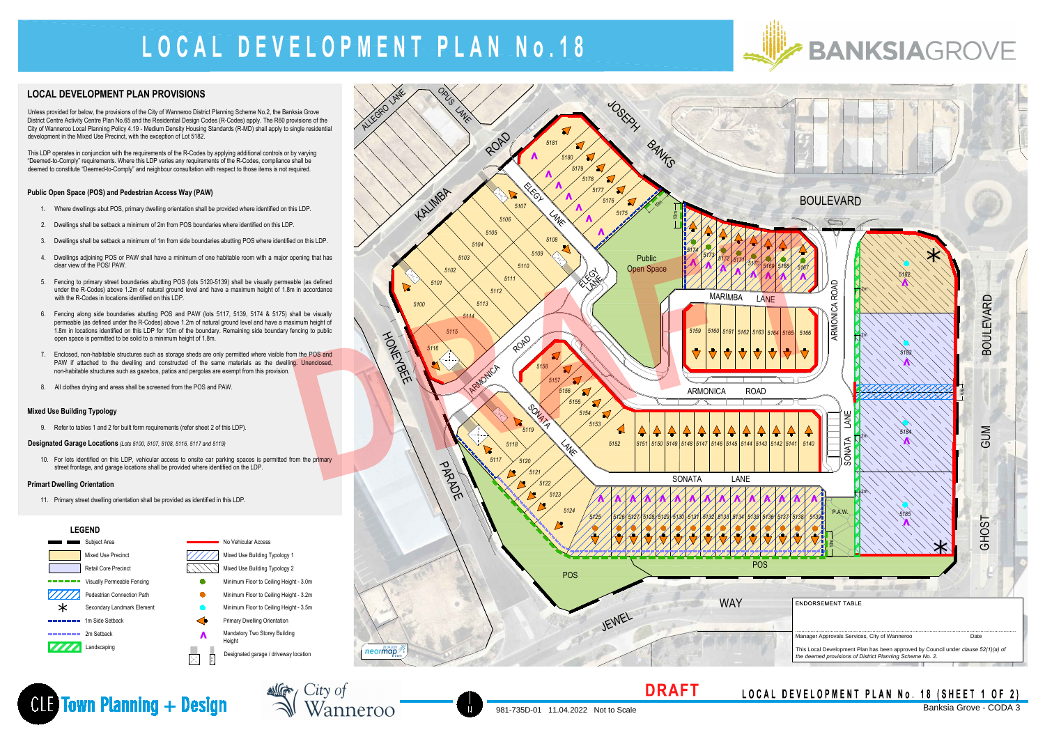### **LEGEND**



### **BANKSIAGROVE**

# **PEVELOP** LOCAL DEVELOPMENT PLA



### **LOCAL DEVELOPMENT PLAN PROVISIONS**

Unless provided for below, the provisions of the City of Wanneroo District Planning Scheme No.2, the Banksia Grove Unless provided for below, the provisions of the City of Wanneroo District Planning Scheme No.2, the Banksia Grove<br>District Centre Activity Centre Plan No.65 and the Residential Design Codes (R-Codes) apply. The R60 provis District Centre Activity Centre Plan No.65 and the Residential Design Codes (R-Codes) apply. The R60 provisions of the<br>City of Wanneroo Local Planning Policy 4.19 - Medium Density Housing Standards (R-MD) shall apply to si development in the Mixed Use Precinct, with the exception of Lot 5182.

10. For lots identified on this LDP, vehicular access to onsite car parking spaces is permitted from the primary street frontage, and garage locations shall be provided where identified on the LDP.

This LDP operates in conjunction with the requirements of the R-Codes by applying additional controls or by varying "Deemed-to-Comply" requirements. Where this LDP varies any requirements of the R-Codes, compliance shall be deemed to constitute "Deemed-to-Comply" and neighbour consultation with respect to those items is not required.

### **Public Open Space (POS) and Pedestrian Access Way (PAW)**



NG City of

Wanneroo



- 1. Where dwellings abut POS, primary dwelling orientation shall be provided where identified on this LDP.
- 2. Dwellings shall be setback a minimum of 2m from POS boundaries where identified on this LDP.
- 3. Dwellings shall be setback a minimum of 1m from side boundaries abutting POS where identified on this LDP.
- 4. Dwellings adjoining POS or PAW shall have a minimum of one habitable room with a major opening that has clear view of the POS/ PAW.
- 5. Fencing to primary street boundaries abutting POS (lots 5120-5139) shall be visually permeable (as defined under the R-Codes) above 1.2m of natural ground level and have a maximum height of 1.8m in accordance under the R-Codes) above 1.2m of natural ground level and have a maximum height of 1.8m in accordance with the R-Codes in locations identified on this LDP. under the R-Codes) above 1.2m of natural ground level and have a maximum height of 1.8m in accordance<br>with the R-Codes in locations identified on this LDP.<br>6. Fencing along side boundaries abutting POS and PAW (lots 5117,
- with the R-Codes in locations identified on this EDT.<br>Fencing along side boundaries abutting POS and PAW (lots 5117, 5139, 5174 & 5175) shall be visually<br>permeable (as defined under the R-Codes) above 1.2m of natural groun Fencing along side boundaries abutting POS and PAW (lots 5117, 5139, 5174 & 5175) shall be visually<br>permeable (as defined under the R-Codes) above 1.2m of natural ground level and have a maximum height of<br>1.8m in locations 1.8m in locations identified on this LDP for 10m of the boundary. Remaining side boundary fencing to public open space is permitted to be solid to a minimum height of 1.8m.
- 7. Enclosed, non-habitable structures such as storage sheds are only permitted where visible from the POS and PAW if attached to the dwelling and constructed of the same materials as the dwelling. Unenclosed, non-habitable structures such as gazebos, patios and pergolas are exempt from this provision.
- 8. All clothes drying and areas shall be screened from the POS and PAW.

### **Mixed Use Building Typology**

9. Refer to tables 1 and 2 for built form requirements (refer sheet 2 of this LDP).

**Designated Garage Locations** *(Lots 5100, 5107, 5108, 5116, 5117 and 5119)*

### **Primart Dwelling Orientation**

11. Primary street dwelling orientation shall be provided as identified in this LDP.